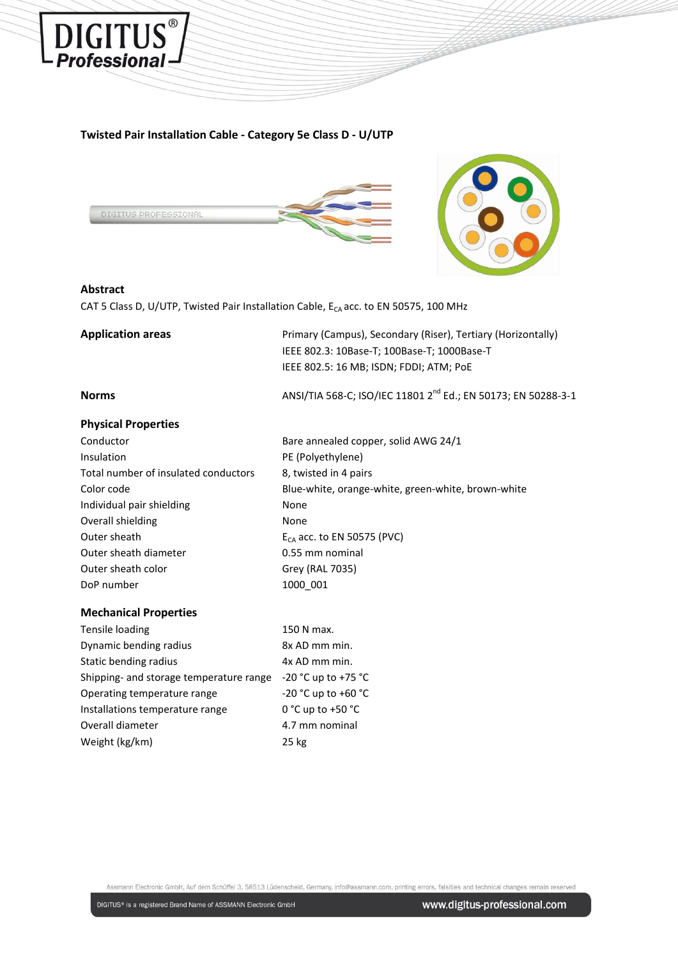

# **Twisted Pair Installation Cable - Category 5e Class D - U/UTP**



### **Abstract**

CAT 5 Class D, U/UTP, Twisted Pair Installation Cable,  $E_{CA}$  acc. to EN 50575, 100 MHz

| <b>Application areas</b>                | Primary (Campus), Secondary (Riser), Tertiary (Horizontally)<br>IEEE 802.3: 10Base-T; 100Base-T; 1000Base-T<br>IEEE 802.5: 16 MB; ISDN; FDDI; ATM; PoE |  |  |  |
|-----------------------------------------|--------------------------------------------------------------------------------------------------------------------------------------------------------|--|--|--|
| <b>Norms</b>                            | ANSI/TIA 568-C; ISO/IEC 11801 2 <sup>nd</sup> Ed.; EN 50173; EN 50288-3-1                                                                              |  |  |  |
| <b>Physical Properties</b>              |                                                                                                                                                        |  |  |  |
| Conductor                               | Bare annealed copper, solid AWG 24/1                                                                                                                   |  |  |  |
| Insulation                              | PE (Polyethylene)                                                                                                                                      |  |  |  |
| Total number of insulated conductors    | 8, twisted in 4 pairs                                                                                                                                  |  |  |  |
| Color code                              | Blue-white, orange-white, green-white, brown-white                                                                                                     |  |  |  |
| Individual pair shielding               | None                                                                                                                                                   |  |  |  |
| Overall shielding                       | None                                                                                                                                                   |  |  |  |
| Outer sheath                            | $E_{CA}$ acc. to EN 50575 (PVC)                                                                                                                        |  |  |  |
| Outer sheath diameter                   | 0.55 mm nominal                                                                                                                                        |  |  |  |
| Outer sheath color                      | Grey (RAL 7035)                                                                                                                                        |  |  |  |
| DoP number                              | 1000 001                                                                                                                                               |  |  |  |
| <b>Mechanical Properties</b>            |                                                                                                                                                        |  |  |  |
| Tensile loading                         | 150 N max.                                                                                                                                             |  |  |  |
| Dynamic bending radius                  | 8x AD mm min.                                                                                                                                          |  |  |  |
| Static bending radius                   | 4x AD mm min.                                                                                                                                          |  |  |  |
| Shipping- and storage temperature range | -20 °C up to +75 °C                                                                                                                                    |  |  |  |
| Operating temperature range             | -20 °C up to +60 °C                                                                                                                                    |  |  |  |
| Installations temperature range         | 0 °C up to +50 °C                                                                                                                                      |  |  |  |
| Overall diameter                        | 4.7 mm nominal                                                                                                                                         |  |  |  |
| Weight (kg/km)                          | $25$ kg                                                                                                                                                |  |  |  |

Assmann Electronic GmbH, Auf dem Schüffel 3, 58513 Lüdenscheid, Germany, info@assmann.com, printing errors, falsities and technical changes remain reserved